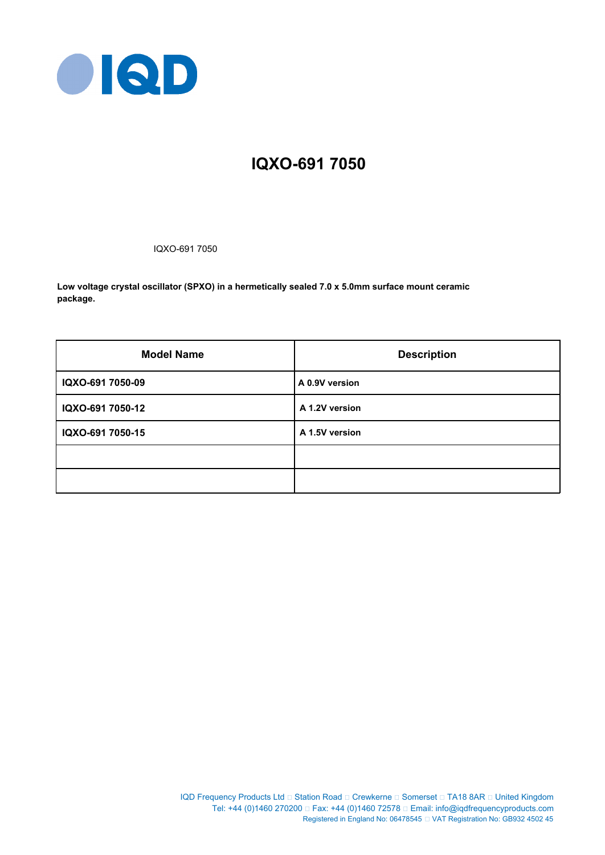

# **IQXO-691 7050**

IQXO-691 7050

**Low voltage crystal oscillator (SPXO) in a hermetically sealed 7.0 x 5.0mm surface mount ceramic package.**

| <b>Model Name</b> | <b>Description</b> |
|-------------------|--------------------|
| IQXO-691 7050-09  | A 0.9V version     |
| IQXO-691 7050-12  | A 1.2V version     |
| IQXO-691 7050-15  | A 1.5V version     |
|                   |                    |
|                   |                    |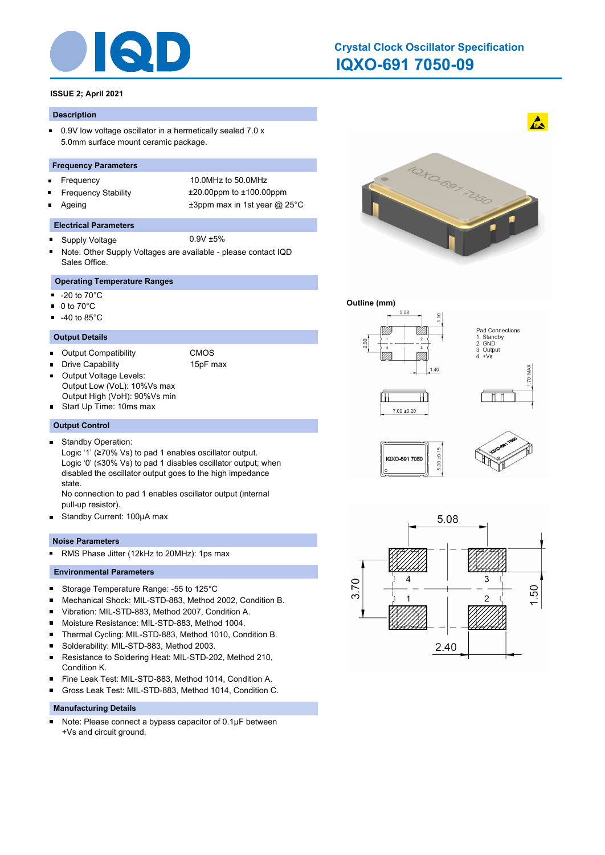

# **IQXO-691 7050-09 Crystal Clock Oscillator Specification**

# **ISSUE 2; April 2021**

#### **Description**

 $\blacksquare$ 0.9V low voltage oscillator in a hermetically sealed 7.0 x 5.0mm surface mount ceramic package.

#### **Frequency Parameters**

- $\blacksquare$
- 
- 

Frequency 10.0MHz to 50.0MHz Frequency Stability ±20.00ppm to ±100.00ppm Ageing  $\qquad \qquad \pm 3$ ppm max in 1st year @ 25°C

#### **Electrical Parameters**

- Supply Voltage 0.9V ±5%  $\blacksquare$
- Note: Other Supply Voltages are available please contact IQD Sales Office.

# **Operating Temperature Ranges**

- $\blacksquare$ -20 to 70°C
- 0 to 70°C  $\blacksquare$
- $-40$  to 85 $^{\circ}$ C

#### **Output Details**

- Output Compatibility CMOS
	-
- Drive Capability 15pF max Output Voltage Levels: П
	-
- Output Low (VoL): 10%Vs max Output High (VoH): 90%Vs min
- Start Up Time: 10ms max

#### **Output Control**

- Standby Operation:  $\blacksquare$ 
	- Logic '1' (≥70% Vs) to pad 1 enables oscillator output. Logic '0' (≤30% Vs) to pad 1 disables oscillator output; when disabled the oscillator output goes to the high impedance state.

No connection to pad 1 enables oscillator output (internal pull-up resistor).

 $\blacksquare$ Standby Current: 100μA max

#### **Noise Parameters**

RMS Phase Jitter (12kHz to 20MHz): 1ps max  $\blacksquare$ 

### **Environmental Parameters**

- $\blacksquare$ Storage Temperature Range: -55 to 125°C
- Mechanical Shock: MIL-STD-883, Method 2002, Condition B. ×
- Vibration: MIL-STD-883, Method 2007, Condition A. ×
- $\blacksquare$ Moisture Resistance: MIL-STD-883, Method 1004.
- $\blacksquare$ Thermal Cycling: MIL-STD-883, Method 1010, Condition B.
- $\blacksquare$ Solderability: MIL-STD-883, Method 2003.
- $\blacksquare$ Resistance to Soldering Heat: MIL-STD-202, Method 210, Condition K.
- Fine Leak Test: MIL-STD-883, Method 1014, Condition A.  $\blacksquare$
- Gross Leak Test: MIL-STD-883, Method 1014, Condition C. n

#### **Manufacturing Details**

Note: Please connect a bypass capacitor of 0.1μF between  $\blacksquare$ +Vs and circuit ground.



#### **Outline (mm)**















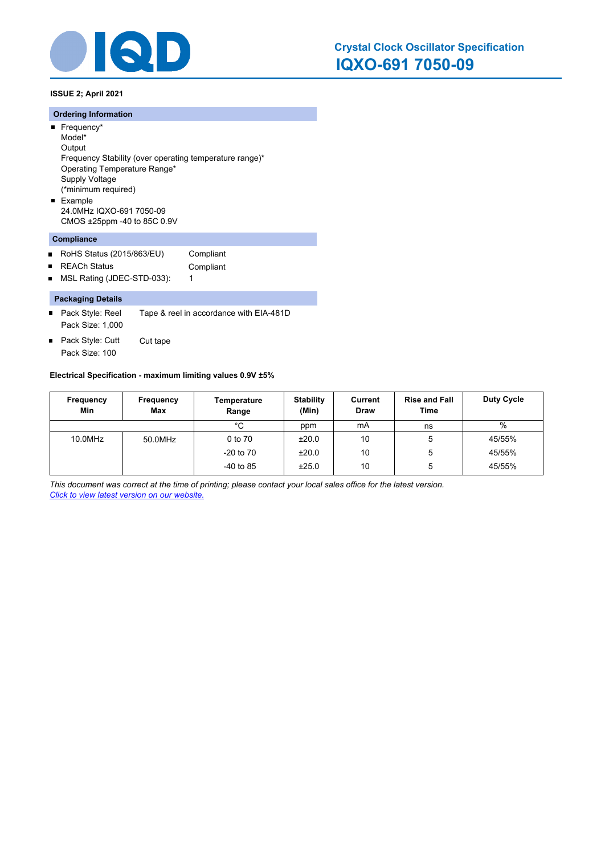

**ISSUE 2; April 2021**

#### **Ordering Information**

- Frequency\* Model\* **Output** Frequency Stability (over operating temperature range)\* Operating Temperature Range\* Supply Voltage (\*minimum required) **Example**
- 24.0MHz IQXO-691 7050-09 CMOS ±25ppm -40 to 85C 0.9V

# **Compliance**

- $\blacksquare$ RoHS Status (2015/863/EU) Compliant
- REACh Status **Compliant**  $\blacksquare$
- MSL Rating (JDEC-STD-033): 1  $\blacksquare$

#### **Packaging Details**

- Pack Style: Reel Tape & reel in accordance with EIA-481D Pack Size: 1,000
- Pack Style: Cutt Cut tape  $\blacksquare$ Pack Size: 100

#### **Electrical Specification - maximum limiting values 0.9V ±5%**

| Frequency<br>Min | Frequency<br><b>Max</b> | Temperature<br>Range | <b>Stability</b><br>(Min) | Current<br><b>Draw</b> | <b>Rise and Fall</b><br>Time | <b>Duty Cycle</b> |
|------------------|-------------------------|----------------------|---------------------------|------------------------|------------------------------|-------------------|
|                  |                         | °C                   | ppm                       | mA                     | ns                           | $\%$              |
| 10.0MHz          | 50.0MHz                 | 0 to 70              | ±20.0                     | 10                     | 5                            | 45/55%            |
|                  |                         | $-20$ to $70$        | ±20.0                     | 10                     | 5                            | 45/55%            |
|                  |                         | $-40$ to 85          | ±25.0                     | 10                     | 5                            | 45/55%            |

*This document was correct at the time of printing; please contact your local sales office for the latest version. Click to view latest version on our website.*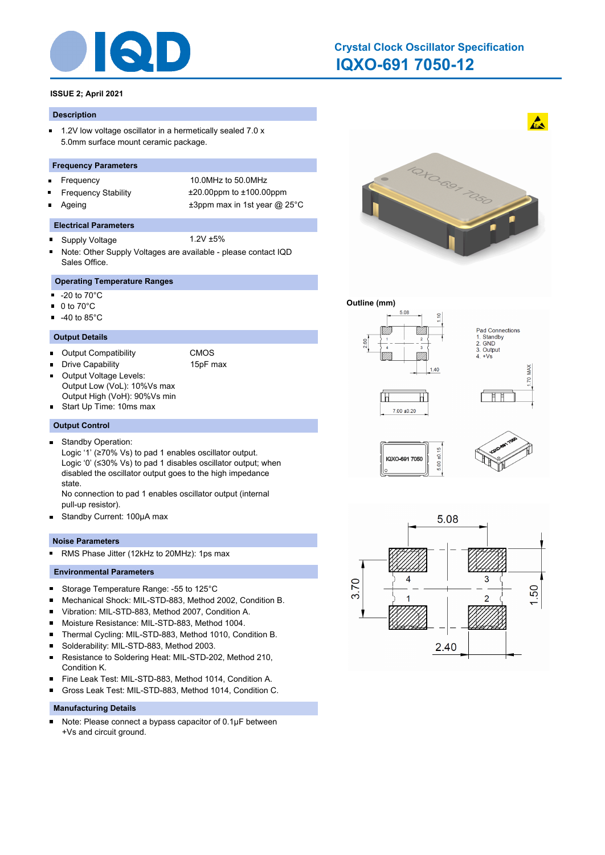

# **IQXO-691 7050-12 Crystal Clock Oscillator Specification**

# **ISSUE 2; April 2021**

#### **Description**

 $\blacksquare$ 1.2V low voltage oscillator in a hermetically sealed 7.0 x 5.0mm surface mount ceramic package.

#### **Frequency Parameters**

- $\blacksquare$
- 
- 

Frequency 10.0MHz to 50.0MHz Frequency Stability ±20.00ppm to ±100.00ppm Ageing  $\qquad \qquad \pm 3$ ppm max in 1st year @ 25°C

#### **Electrical Parameters**

- Supply Voltage 1.2V ±5%  $\blacksquare$
- Note: Other Supply Voltages are available please contact IQD Sales Office.

# **Operating Temperature Ranges**

- $\blacksquare$ -20 to 70°C
- 0 to 70°C  $\blacksquare$
- $-40$  to 85 $^{\circ}$ C

#### **Output Details**

- Output Compatibility CMOS
	-
- Drive Capability 15pF max Output Voltage Levels:  $\blacksquare$ 
	-
- Output Low (VoL): 10%Vs max Output High (VoH): 90%Vs min
- Start Up Time: 10ms max

#### **Output Control**

Standby Operation:  $\blacksquare$ 

Logic '1' (≥70% Vs) to pad 1 enables oscillator output. Logic '0' (≤30% Vs) to pad 1 disables oscillator output; when disabled the oscillator output goes to the high impedance state.

No connection to pad 1 enables oscillator output (internal pull-up resistor).

 $\blacksquare$ Standby Current: 100μA max

#### **Noise Parameters**

RMS Phase Jitter (12kHz to 20MHz): 1ps max  $\blacksquare$ 

#### **Environmental Parameters**

- $\blacksquare$ Storage Temperature Range: -55 to 125°C
- Mechanical Shock: MIL-STD-883, Method 2002, Condition B. ×
- Vibration: MIL-STD-883, Method 2007, Condition A. ×
- $\blacksquare$ Moisture Resistance: MIL-STD-883, Method 1004.
- $\blacksquare$ Thermal Cycling: MIL-STD-883, Method 1010, Condition B.
- $\blacksquare$ Solderability: MIL-STD-883, Method 2003.
- $\blacksquare$ Resistance to Soldering Heat: MIL-STD-202, Method 210, Condition K.
- Fine Leak Test: MIL-STD-883, Method 1014, Condition A.  $\blacksquare$
- Gross Leak Test: MIL-STD-883, Method 1014, Condition C. n

#### **Manufacturing Details**

Note: Please connect a bypass capacitor of 0.1μF between  $\blacksquare$ +Vs and circuit ground.



#### **Outline (mm)**















 $\mathbf{A}$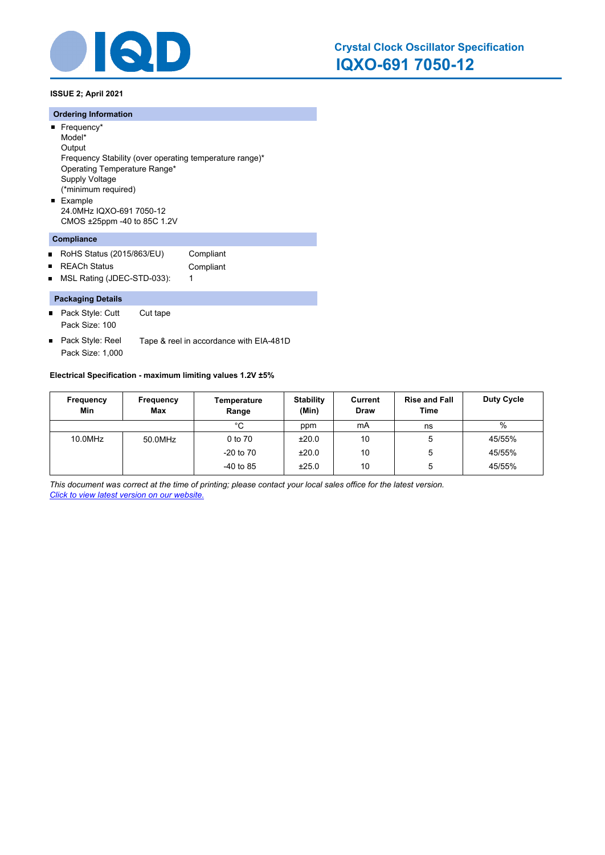

**ISSUE 2; April 2021**

#### **Ordering Information**

- Frequency\* Model\*
- **Output** Frequency Stability (over operating temperature range)\* Operating Temperature Range\* Supply Voltage (\*minimum required) **Example**
- 24.0MHz IQXO-691 7050-12 CMOS ±25ppm -40 to 85C 1.2V

# **Compliance**

- $\blacksquare$ RoHS Status (2015/863/EU) Compliant
- REACh Status **Compliant**  $\blacksquare$
- MSL Rating (JDEC-STD-033): 1  $\blacksquare$

#### **Packaging Details**

- Pack Style: Cutt Cut tape Pack Size: 100
- Pack Style: Reel Tape & reel in accordance with EIA-481D  $\blacksquare$ Pack Size: 1,000

#### **Electrical Specification - maximum limiting values 1.2V ±5%**

| Frequency<br>Min | Frequency<br><b>Max</b> | Temperature<br>Range | <b>Stability</b><br>(Min) | Current<br><b>Draw</b> | <b>Rise and Fall</b><br>Time | <b>Duty Cycle</b> |
|------------------|-------------------------|----------------------|---------------------------|------------------------|------------------------------|-------------------|
|                  |                         | °C                   | ppm                       | mA                     | ns                           | %                 |
| 10.0MHz          | 50.0MHz                 | 0 to 70              | ±20.0                     | 10                     | 5                            | 45/55%            |
|                  |                         | $-20$ to $70$        | ±20.0                     | 10                     | 5                            | 45/55%            |
|                  |                         | $-40$ to 85          | ±25.0                     | 10                     | 5                            | 45/55%            |

*This document was correct at the time of printing; please contact your local sales office for the latest version. Click to view latest version on our website.*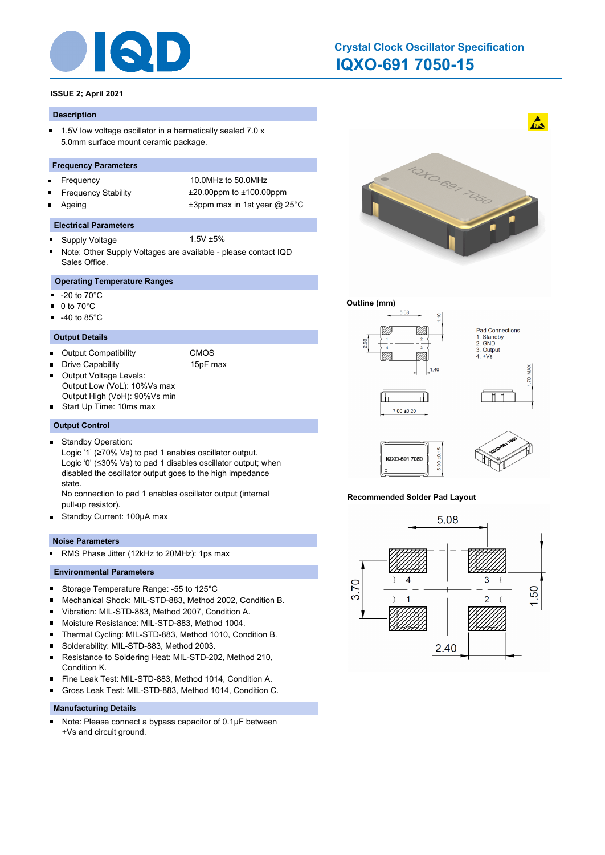

# **IQXO-691 7050-15 Crystal Clock Oscillator Specification**

# **ISSUE 2; April 2021**

#### **Description**

 $\blacksquare$ 1.5V low voltage oscillator in a hermetically sealed 7.0 x 5.0mm surface mount ceramic package.

#### **Frequency Parameters**

- $\blacksquare$
- 
- 

Frequency 10.0MHz to 50.0MHz Frequency Stability ±20.00ppm to ±100.00ppm Ageing  $\qquad \qquad \pm 3$ ppm max in 1st year @ 25°C

#### **Electrical Parameters**

- Supply Voltage 1.5V ±5%  $\blacksquare$
- Note: Other Supply Voltages are available please contact IQD Sales Office.

# **Operating Temperature Ranges**

- $\blacksquare$ -20 to 70°C
- 0 to 70°C  $\blacksquare$
- $-40$  to 85 $^{\circ}$ C

#### **Output Details**

- Output Compatibility CMOS
	-
- Drive Capability 15pF max
	-
- Output Voltage Levels: П Output Low (VoL): 10%Vs max Output High (VoH): 90%Vs min
- Start Up Time: 10ms max

#### **Output Control**

Standby Operation:  $\blacksquare$ 

Logic '1' (≥70% Vs) to pad 1 enables oscillator output. Logic '0' (≤30% Vs) to pad 1 disables oscillator output; when disabled the oscillator output goes to the high impedance state.

No connection to pad 1 enables oscillator output (internal pull-up resistor).

 $\blacksquare$ Standby Current: 100μA max

#### **Noise Parameters**

RMS Phase Jitter (12kHz to 20MHz): 1ps max  $\blacksquare$ 

#### **Environmental Parameters**

- $\blacksquare$ Storage Temperature Range: -55 to 125°C
- Mechanical Shock: MIL-STD-883, Method 2002, Condition B. ×
- Vibration: MIL-STD-883, Method 2007, Condition A. ×
- $\blacksquare$ Moisture Resistance: MIL-STD-883, Method 1004.
- $\blacksquare$ Thermal Cycling: MIL-STD-883, Method 1010, Condition B.
- $\blacksquare$ Solderability: MIL-STD-883, Method 2003.
- $\blacksquare$ Resistance to Soldering Heat: MIL-STD-202, Method 210, Condition K.
- Fine Leak Test: MIL-STD-883, Method 1014, Condition A.  $\blacksquare$
- Gross Leak Test: MIL-STD-883, Method 1014, Condition C. n

#### **Manufacturing Details**

Note: Please connect a bypass capacitor of 0.1μF between  $\blacksquare$ +Vs and circuit ground.



 $\mathbf{A}$ 

#### **Outline (mm)**



#### **Recommended Solder Pad Layout**